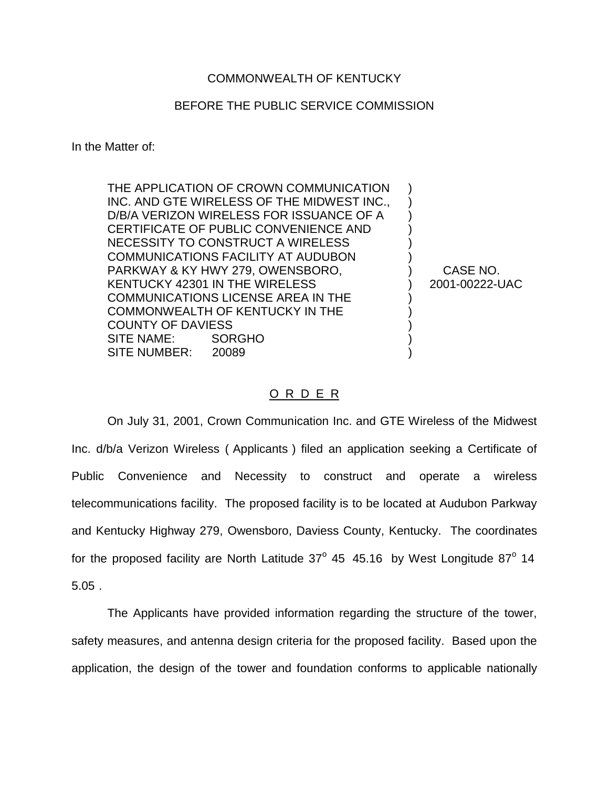## COMMONWEALTH OF KENTUCKY

## BEFORE THE PUBLIC SERVICE COMMISSION

In the Matter of:

THE APPLICATION OF CROWN COMMUNICATION INC. AND GTE WIRELESS OF THE MIDWEST INC., D/B/A VERIZON WIRELESS FOR ISSUANCE OF A CERTIFICATE OF PUBLIC CONVENIENCE AND NECESSITY TO CONSTRUCT A WIRELESS COMMUNICATIONS FACILITY AT AUDUBON PARKWAY & KY HWY 279, OWENSBORO, KENTUCKY 42301 IN THE WIRELESS COMMUNICATIONS LICENSE AREA IN THE COMMONWEALTH OF KENTUCKY IN THE COUNTY OF DAVIESS SITE NAME: SORGHO SITE NUMBER: 20089

CASE NO. 2001-00222-UAC

) ) ) ) ) ) ) ) ) ) ) ) )

## O R D E R

On July 31, 2001, Crown Communication Inc. and GTE Wireless of the Midwest Inc. d/b/a Verizon Wireless ( Applicants ) filed an application seeking a Certificate of Public Convenience and Necessity to construct and operate a wireless telecommunications facility. The proposed facility is to be located at Audubon Parkway and Kentucky Highway 279, Owensboro, Daviess County, Kentucky. The coordinates for the proposed facility are North Latitude  $37^{\circ}$  45 45.16 by West Longitude  $87^{\circ}$  14 5.05 .

The Applicants have provided information regarding the structure of the tower, safety measures, and antenna design criteria for the proposed facility. Based upon the application, the design of the tower and foundation conforms to applicable nationally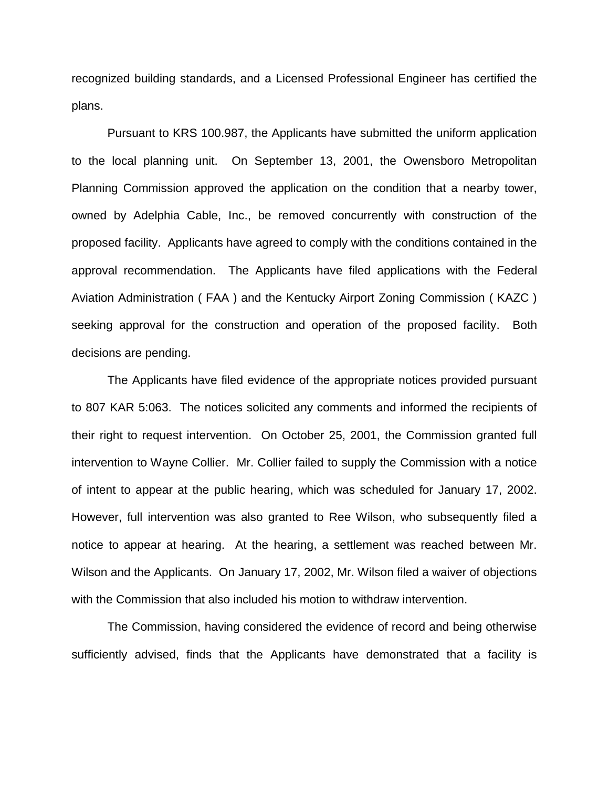recognized building standards, and a Licensed Professional Engineer has certified the plans.

Pursuant to KRS 100.987, the Applicants have submitted the uniform application to the local planning unit. On September 13, 2001, the Owensboro Metropolitan Planning Commission approved the application on the condition that a nearby tower, owned by Adelphia Cable, Inc., be removed concurrently with construction of the proposed facility. Applicants have agreed to comply with the conditions contained in the approval recommendation. The Applicants have filed applications with the Federal Aviation Administration ( FAA ) and the Kentucky Airport Zoning Commission ( KAZC ) seeking approval for the construction and operation of the proposed facility. Both decisions are pending.

The Applicants have filed evidence of the appropriate notices provided pursuant to 807 KAR 5:063. The notices solicited any comments and informed the recipients of their right to request intervention. On October 25, 2001, the Commission granted full intervention to Wayne Collier. Mr. Collier failed to supply the Commission with a notice of intent to appear at the public hearing, which was scheduled for January 17, 2002. However, full intervention was also granted to Ree Wilson, who subsequently filed a notice to appear at hearing. At the hearing, a settlement was reached between Mr. Wilson and the Applicants. On January 17, 2002, Mr. Wilson filed a waiver of objections with the Commission that also included his motion to withdraw intervention.

The Commission, having considered the evidence of record and being otherwise sufficiently advised, finds that the Applicants have demonstrated that a facility is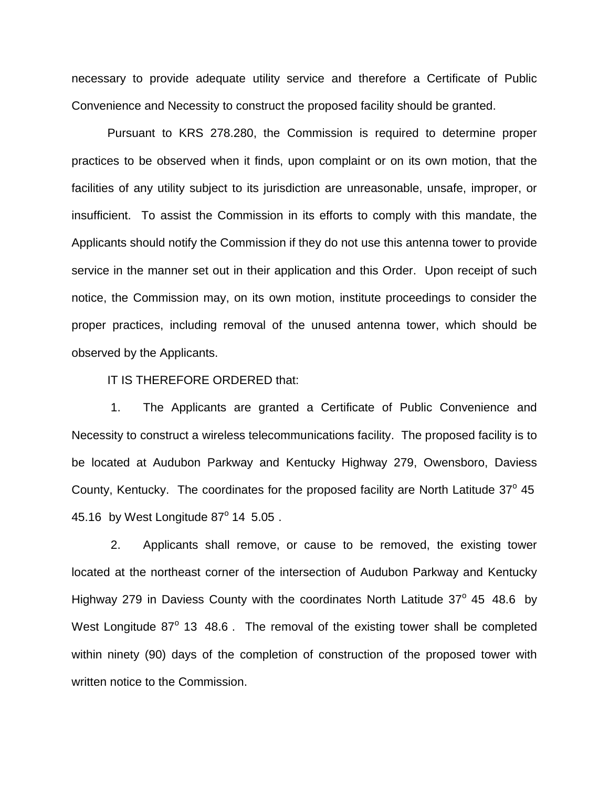necessary to provide adequate utility service and therefore a Certificate of Public Convenience and Necessity to construct the proposed facility should be granted.

Pursuant to KRS 278.280, the Commission is required to determine proper practices to be observed when it finds, upon complaint or on its own motion, that the facilities of any utility subject to its jurisdiction are unreasonable, unsafe, improper, or insufficient. To assist the Commission in its efforts to comply with this mandate, the Applicants should notify the Commission if they do not use this antenna tower to provide service in the manner set out in their application and this Order. Upon receipt of such notice, the Commission may, on its own motion, institute proceedings to consider the proper practices, including removal of the unused antenna tower, which should be observed by the Applicants.

IT IS THEREFORE ORDERED that:

1. The Applicants are granted a Certificate of Public Convenience and Necessity to construct a wireless telecommunications facility. The proposed facility is to be located at Audubon Parkway and Kentucky Highway 279, Owensboro, Daviess County, Kentucky. The coordinates for the proposed facility are North Latitude  $37^{\circ}$  45 45.16 by West Longitude  $87^{\circ}$  14 5.05.

2. Applicants shall remove, or cause to be removed, the existing tower located at the northeast corner of the intersection of Audubon Parkway and Kentucky Highway 279 in Daviess County with the coordinates North Latitude  $37^{\circ}$  45 48.6 by West Longitude  $87^\circ$  13 48.6. The removal of the existing tower shall be completed within ninety (90) days of the completion of construction of the proposed tower with written notice to the Commission.